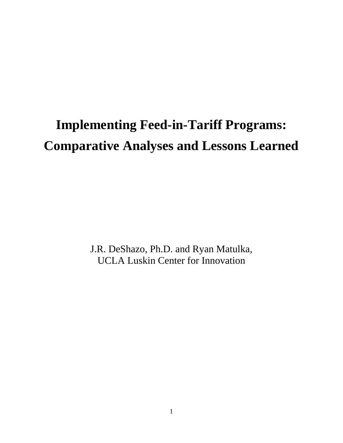# **Implementing Feed-in-Tariff Programs: Comparative Analyses and Lessons Learned**

J.R. DeShazo, Ph.D. and Ryan Matulka, UCLA Luskin Center for Innovation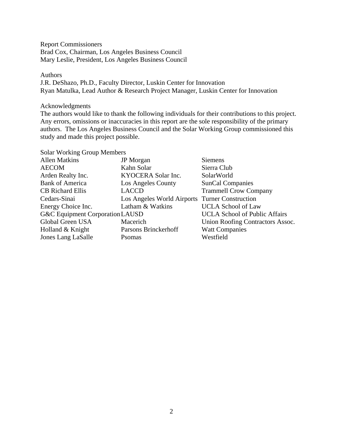Report Commissioners Brad Cox, Chairman, Los Angeles Business Council Mary Leslie, President, Los Angeles Business Council

#### Authors

J.R. DeShazo, Ph.D., Faculty Director, Luskin Center for Innovation Ryan Matulka, Lead Author & Research Project Manager, Luskin Center for Innovation

Acknowledgments

The authors would like to thank the following individuals for their contributions to this project. Any errors, omissions or inaccuracies in this report are the sole responsibility of the primary authors. The Los Angeles Business Council and the Solar Working Group commissioned this study and made this project possible.

| <b>Solar Working Group Members</b> |                            |                                      |
|------------------------------------|----------------------------|--------------------------------------|
| <b>Allen Matkins</b>               | <b>JP</b> Morgan           | <b>Siemens</b>                       |
| <b>AECOM</b>                       | Kahn Solar                 | Sierra Club                          |
| Arden Realty Inc.                  | KYOCERA Solar Inc.         | SolarWorld                           |
| <b>Bank of America</b>             | Los Angeles County         | <b>SunCal Companies</b>              |
| <b>CB</b> Richard Ellis            | <b>LACCD</b>               | <b>Trammell Crow Company</b>         |
| Cedars-Sinai                       | Los Angeles World Airports | <b>Turner Construction</b>           |
| Energy Choice Inc.                 | Latham & Watkins           | <b>UCLA School of Law</b>            |
| G&C Equipment Corporation LAUSD    |                            | <b>UCLA School of Public Affairs</b> |
| Global Green USA                   | Macerich                   | Union Roofing Contractors Assoc.     |
| Holland & Knight                   | Parsons Brinckerhoff       | <b>Watt Companies</b>                |
| Jones Lang LaSalle                 | Psomas                     | Westfield                            |
|                                    |                            |                                      |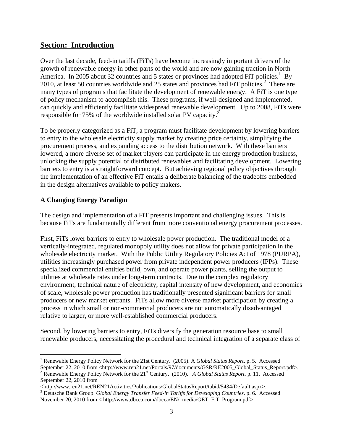# **Section: Introduction**

Over the last decade, feed-in tariffs (FiTs) have become increasingly important drivers of the growth of renewable energy in other parts of the world and are now gaining traction in North America. In 2005 about 32 countries and 5 states or provinces had adopted FiT policies.<sup>1</sup> By 2010, at least 50 countries worldwide and 25 states and provinces had  $\overline{P}$ iT policies.<sup>2</sup> There are many types of programs that facilitate the development of renewable energy. A FiT is one type of policy mechanism to accomplish this. These programs, if well-designed and implemented, can quickly and efficiently facilitate widespread renewable development. Up to 2008, FiTs were responsible for 75% of the worldwide installed solar PV capacity.<sup>3</sup>

To be properly categorized as a FiT, a program must facilitate development by lowering barriers to entry to the wholesale electricity supply market by creating price certainty, simplifying the procurement process, and expanding access to the distribution network. With these barriers lowered, a more diverse set of market players can participate in the energy production business, unlocking the supply potential of distributed renewables and facilitating development. Lowering barriers to entry is a straightforward concept. But achieving regional policy objectives through the implementation of an effective FiT entails a deliberate balancing of the tradeoffs embedded in the design alternatives available to policy makers.

## **A Changing Energy Paradigm**

 $\overline{\phantom{a}}$ 

The design and implementation of a FiT presents important and challenging issues. This is because FiTs are fundamentally different from more conventional energy procurement processes.

First, FiTs lower barriers to entry to wholesale power production. The traditional model of a vertically-integrated, regulated monopoly utility does not allow for private participation in the wholesale electricity market. With the Public Utility Regulatory Policies Act of 1978 (PURPA), utilities increasingly purchased power from private independent power producers (IPPs). These specialized commercial entities build, own, and operate power plants, selling the output to utilities at wholesale rates under long-term contracts. Due to the complex regulatory environment, technical nature of electricity, capital intensity of new development, and economies of scale, wholesale power production has traditionally presented significant barriers for small producers or new market entrants. FiTs allow more diverse market participation by creating a process in which small or non-commercial producers are not automatically disadvantaged relative to larger, or more well-established commercial producers.

Second, by lowering barriers to entry, FiTs diversify the generation resource base to small renewable producers, necessitating the procedural and technical integration of a separate class of

<sup>1</sup> Renewable Energy Policy Network for the 21st Century. (2005). A *Global Status Report*. p. 5. Accessed

September 22, 2010 from <http://www.ren21.net/Portals/97/documents/GSR/RE2005\_Global\_Status\_Report.pdf>. <sup>2</sup> Renewable Energy Policy Network for the 21<sup>st</sup> Century. (2010). *A Global Status Report*. p. 11. Accessed September 22, 2010 from

<sup>&</sup>lt;http://www.ren21.net/REN21Activities/Publications/GlobalStatusReport/tabid/5434/Default.aspx>.

<sup>3</sup> Deutsche Bank Group. *Global Energy Transfer Feed-in Tariffs for Developing Countries*. p. 6. Accessed November 20, 2010 from < http://www.dbcca.com/dbcca/EN/\_media/GET\_FiT\_Program.pdf>.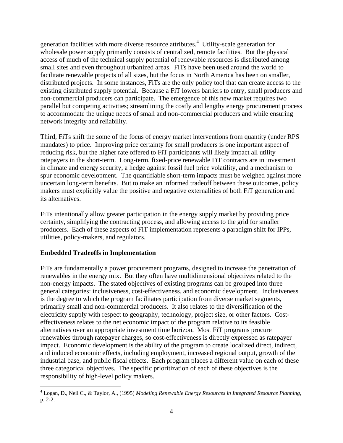generation facilities with more diverse resource attributes.<sup>4</sup> Utility-scale generation for wholesale power supply primarily consists of centralized, remote facilities. But the physical access of much of the technical supply potential of renewable resources is distributed among small sites and even throughout urbanized areas. FiTs have been used around the world to facilitate renewable projects of all sizes, but the focus in North America has been on smaller, distributed projects. In some instances, FiTs are the only policy tool that can create access to the existing distributed supply potential. Because a FiT lowers barriers to entry, small producers and non-commercial producers can participate. The emergence of this new market requires two parallel but competing activities; streamlining the costly and lengthy energy procurement process to accommodate the unique needs of small and non-commercial producers and while ensuring network integrity and reliability.

Third, FiTs shift the some of the focus of energy market interventions from quantity (under RPS mandates) to price. Improving price certainty for small producers is one important aspect of reducing risk, but the higher rate offered to FiT participants will likely impact all utility ratepayers in the short-term. Long-term, fixed-price renewable FiT contracts are in investment in climate and energy security, a hedge against fossil fuel price volatility, and a mechanism to spur economic development. The quantifiable short-term impacts must be weighed against more uncertain long-term benefits. But to make an informed tradeoff between these outcomes, policy makers must explicitly value the positive and negative externalities of both FiT generation and its alternatives.

FiTs intentionally allow greater participation in the energy supply market by providing price certainty, simplifying the contracting process, and allowing access to the grid for smaller producers. Each of these aspects of FiT implementation represents a paradigm shift for IPPs, utilities, policy-makers, and regulators.

## **Embedded Tradeoffs in Implementation**

 $\overline{a}$ 

FiTs are fundamentally a power procurement programs, designed to increase the penetration of renewables in the energy mix. But they often have multidimensional objectives related to the non-energy impacts. The stated objectives of existing programs can be grouped into three general categories: inclusiveness, cost-effectiveness, and economic development. Inclusiveness is the degree to which the program facilitates participation from diverse market segments, primarily small and non-commercial producers. It also relates to the diversification of the electricity supply with respect to geography, technology, project size, or other factors. Costeffectiveness relates to the net economic impact of the program relative to its feasible alternatives over an appropriate investment time horizon. Most FiT programs procure renewables through ratepayer charges, so cost-effectiveness is directly expressed as ratepayer impact. Economic development is the ability of the program to create localized direct, indirect, and induced economic effects, including employment, increased regional output, growth of the industrial base, and public fiscal effects. Each program places a different value on each of these three categorical objectives. The specific prioritization of each of these objectives is the responsibility of high-level policy makers.

<sup>4</sup> Logan, D., Neil C., & Taylor, A., (1995) *Modeling Renewable Energy Resources in Integrated Resource Planning*, p. 2-2.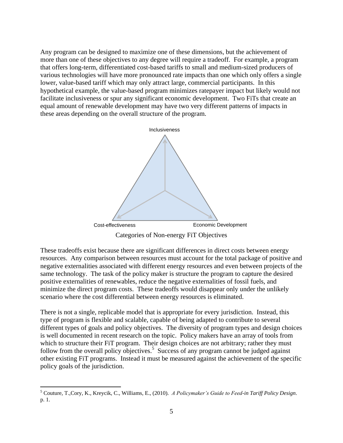Any program can be designed to maximize one of these dimensions, but the achievement of more than one of these objectives to any degree will require a tradeoff. For example, a program that offers long-term, differentiated cost-based tariffs to small and medium-sized producers of various technologies will have more pronounced rate impacts than one which only offers a single lower, value-based tariff which may only attract large, commercial participants. In this hypothetical example, the value-based program minimizes ratepayer impact but likely would not facilitate inclusiveness or spur any significant economic development. Two FiTs that create an equal amount of renewable development may have two very different patterns of impacts in these areas depending on the overall structure of the program.



These tradeoffs exist because there are significant differences in direct costs between energy resources. Any comparison between resources must account for the total package of positive and negative externalities associated with different energy resources and even between projects of the same technology. The task of the policy maker is structure the program to capture the desired positive externalities of renewables, reduce the negative externalities of fossil fuels, and minimize the direct program costs. These tradeoffs would disappear only under the unlikely scenario where the cost differential between energy resources is eliminated.

There is not a single, replicable model that is appropriate for every jurisdiction. Instead, this type of program is flexible and scalable, capable of being adapted to contribute to several different types of goals and policy objectives. The diversity of program types and design choices is well documented in recent research on the topic. Policy makers have an array of tools from which to structure their FiT program. Their design choices are not arbitrary; rather they must follow from the overall policy objectives.<sup>5</sup> Success of any program cannot be judged against other existing FiT programs. Instead it must be measured against the achievement of the specific policy goals of the jurisdiction.

 $\overline{a}$ 

<sup>5</sup> Couture, T.,Cory, K., Kreycik, C., Williams, E., (2010). *A Policymaker's Guide to Feed-in Tariff Policy Design*. p. 1.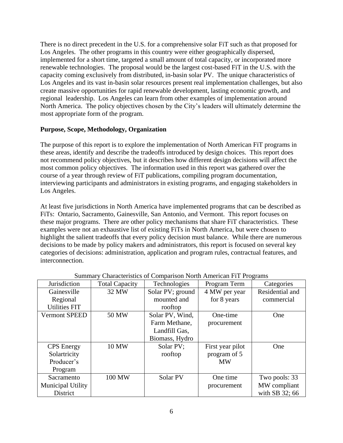There is no direct precedent in the U.S. for a comprehensive solar FiT such as that proposed for Los Angeles. The other programs in this country were either geographically dispersed, implemented for a short time, targeted a small amount of total capacity, or incorporated more renewable technologies. The proposal would be the largest cost-based FiT in the U.S. with the capacity coming exclusively from distributed, in-basin solar PV. The unique characteristics of Los Angeles and its vast in-basin solar resources present real implementation challenges, but also create massive opportunities for rapid renewable development, lasting economic growth, and regional leadership. Los Angeles can learn from other examples of implementation around North America. The policy objectives chosen by the City's leaders will ultimately determine the most appropriate form of the program.

#### **Purpose, Scope, Methodology, Organization**

The purpose of this report is to explore the implementation of North American FiT programs in these areas, identify and describe the tradeoffs introduced by design choices. This report does not recommend policy objectives, but it describes how different design decisions will affect the most common policy objectives. The information used in this report was gathered over the course of a year through review of FiT publications, compiling program documentation, interviewing participants and administrators in existing programs, and engaging stakeholders in Los Angeles.

At least five jurisdictions in North America have implemented programs that can be described as FiTs: Ontario, Sacramento, Gainesville, San Antonio, and Vermont. This report focuses on these major programs. There are other policy mechanisms that share FiT characteristics. These examples were not an exhaustive list of existing FiTs in North America, but were chosen to highlight the salient tradeoffs that every policy decision must balance. While there are numerous decisions to be made by policy makers and administrators, this report is focused on several key categories of decisions: administration, application and program rules, contractual features, and interconnection.

| Jurisdiction             | <b>Total Capacity</b> | Technologies<br>Program Term |                  | Categories      |
|--------------------------|-----------------------|------------------------------|------------------|-----------------|
| Gainesville              | 32 MW                 | Solar PV; ground             | 4 MW per year    | Residential and |
| Regional                 |                       | mounted and                  | for 8 years      | commercial      |
| <b>Utilities FIT</b>     |                       | rooftop                      |                  |                 |
| <b>Vermont SPEED</b>     | 50 MW                 | Solar PV, Wind,<br>One-time  |                  | One             |
|                          |                       | Farm Methane,                | procurement      |                 |
|                          |                       | Landfill Gas,                |                  |                 |
|                          |                       | Biomass, Hydro               |                  |                 |
| <b>CPS</b> Energy        | 10 MW                 | Solar PV;                    | First year pilot | One             |
| Solartricity             |                       | rooftop                      | program of 5     |                 |
| Producer's               |                       |                              | <b>MW</b>        |                 |
| Program                  |                       |                              |                  |                 |
| Sacramento               | 100 MW                | Solar PV                     | One time         | Two pools: 33   |
| <b>Municipal Utility</b> |                       |                              | procurement      | MW compliant    |
| District                 |                       |                              |                  | with SB 32; 66  |

Summary Characteristics of Comparison North American FiT Programs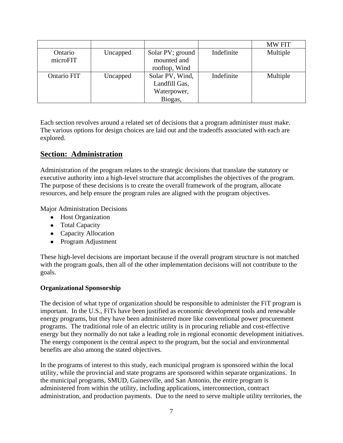|             |          |                  |            | <b>MW FIT</b> |
|-------------|----------|------------------|------------|---------------|
| Ontario     | Uncapped | Solar PV; ground | Indefinite | Multiple      |
| microFIT    |          | mounted and      |            |               |
|             |          | rooftop, Wind    |            |               |
| Ontario FIT | Uncapped | Solar PV, Wind,  | Indefinite | Multiple      |
|             |          | Landfill Gas,    |            |               |
|             |          | Waterpower,      |            |               |
|             |          | Biogas,          |            |               |

Each section revolves around a related set of decisions that a program administer must make. The various options for design choices are laid out and the tradeoffs associated with each are explored.

# **Section: Administration**

Administration of the program relates to the strategic decisions that translate the statutory or executive authority into a high-level structure that accomplishes the objectives of the program. The purpose of these decisions is to create the overall framework of the program, allocate resources, and help ensure the program rules are aligned with the program objectives.

Major Administration Decisions

- Host Organization
- Total Capacity
- Capacity Allocation
- Program Adjustment

These high-level decisions are important because if the overall program structure is not matched with the program goals, then all of the other implementation decisions will not contribute to the goals.

#### **Organizational Sponsorship**

The decision of what type of organization should be responsible to administer the FiT program is important. In the U.S., FiTs have been justified as economic development tools and renewable energy programs, but they have been administered more like conventional power procurement programs. The traditional role of an electric utility is in procuring reliable and cost-effective energy but they normally do not take a leading role in regional economic development initiatives. The energy component is the central aspect to the program, but the social and environmental benefits are also among the stated objectives.

In the programs of interest to this study, each municipal program is sponsored within the local utility, while the provincial and state programs are sponsored within separate organizations. In the municipal programs, SMUD, Gainesville, and San Antonio, the entire program is administered from within the utility, including applications, interconnection, contract administration, and production payments. Due to the need to serve multiple utility territories, the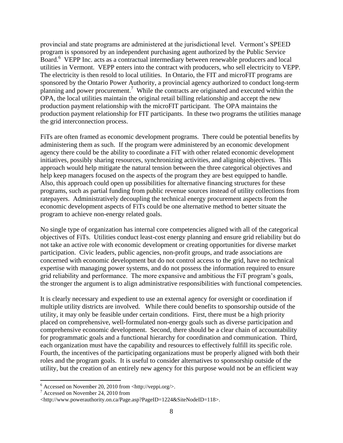provincial and state programs are administered at the jurisdictional level. Vermont's SPEED program is sponsored by an independent purchasing agent authorized by the Public Service Board.<sup>6</sup> VEPP Inc. acts as a contractual intermediary between renewable producers and local utilities in Vermont. VEPP enters into the contract with producers, who sell electricity to VEPP. The electricity is then resold to local utilities. In Ontario, the FIT and microFIT programs are sponsored by the Ontario Power Authority, a provincial agency authorized to conduct long-term planning and power procurement.<sup>7</sup> While the contracts are originated and executed within the OPA, the local utilities maintain the original retail billing relationship and accept the new production payment relationship with the microFIT participant. The OPA maintains the production payment relationship for FIT participants. In these two programs the utilities manage the grid interconnection process.

FiTs are often framed as economic development programs. There could be potential benefits by administering them as such. If the program were administered by an economic development agency there could be the ability to coordinate a FiT with other related economic development initiatives, possibly sharing resources, synchronizing activities, and aligning objectives. This approach would help mitigate the natural tension between the three categorical objectives and help keep managers focused on the aspects of the program they are best equipped to handle. Also, this approach could open up possibilities for alternative financing structures for these programs, such as partial funding from public revenue sources instead of utility collections from ratepayers. Administratively decoupling the technical energy procurement aspects from the economic development aspects of FiTs could be one alternative method to better situate the program to achieve non-energy related goals.

No single type of organization has internal core competencies aligned with all of the categorical objectives of FiTs. Utilities conduct least-cost energy planning and ensure grid reliability but do not take an active role with economic development or creating opportunities for diverse market participation. Civic leaders, public agencies, non-profit groups, and trade associations are concerned with economic development but do not control access to the grid, have no technical expertise with managing power systems, and do not possess the information required to ensure grid reliability and performance. The more expansive and ambitious the FiT program's goals, the stronger the argument is to align administrative responsibilities with functional competencies.

It is clearly necessary and expedient to use an external agency for oversight or coordination if multiple utility districts are involved. While there could benefits to sponsorship outside of the utility, it may only be feasible under certain conditions. First, there must be a high priority placed on comprehensive, well-formulated non-energy goals such as diverse participation and comprehensive economic development. Second, there should be a clear chain of accountability for programmatic goals and a functional hierarchy for coordination and communication. Third, each organization must have the capability and resources to effectively fulfill its specific role. Fourth, the incentives of the participating organizations must be properly aligned with both their roles and the program goals. It is useful to consider alternatives to sponsorship outside of the utility, but the creation of an entirely new agency for this purpose would not be an efficient way

 $\overline{\phantom{a}}$ 

 $6$  Accessed on November 20, 2010 from <http://veppi.org/>.

<sup>7</sup> Accessed on November 24, 2010 from

<sup>&</sup>lt;http://www.powerauthority.on.ca/Page.asp?PageID=1224&SiteNodeID=118>.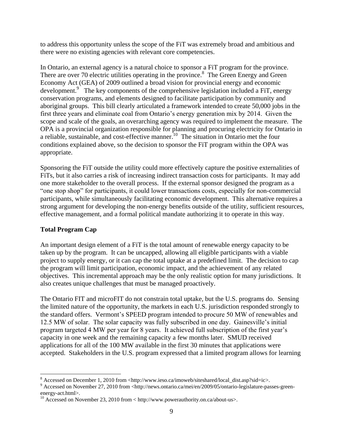to address this opportunity unless the scope of the FiT was extremely broad and ambitious and there were no existing agencies with relevant core competencies.

In Ontario, an external agency is a natural choice to sponsor a FiT program for the province. There are over 70 electric utilities operating in the province.<sup>8</sup> The Green Energy and Green Economy Act (GEA) of 2009 outlined a broad vision for provincial energy and economic development.<sup>9</sup> The key components of the comprehensive legislation included a FiT, energy conservation programs, and elements designed to facilitate participation by community and aboriginal groups. This bill clearly articulated a framework intended to create 50,000 jobs in the first three years and eliminate coal from Ontario's energy generation mix by 2014. Given the scope and scale of the goals, an overarching agency was required to implement the measure. The OPA is a provincial organization responsible for planning and procuring electricity for Ontario in a reliable, sustainable, and cost-effective manner.<sup>10</sup> The situation in Ontario met the four conditions explained above, so the decision to sponsor the FiT program within the OPA was appropriate.

Sponsoring the FiT outside the utility could more effectively capture the positive externalities of FiTs, but it also carries a risk of increasing indirect transaction costs for participants. It may add one more stakeholder to the overall process. If the external sponsor designed the program as a "one stop shop" for participants, it could lower transactions costs, especially for non-commercial participants, while simultaneously facilitating economic development. This alternative requires a strong argument for developing the non-energy benefits outside of the utility, sufficient resources, effective management, and a formal political mandate authorizing it to operate in this way.

## **Total Program Cap**

 $\overline{\phantom{a}}$ 

An important design element of a FiT is the total amount of renewable energy capacity to be taken up by the program. It can be uncapped, allowing all eligible participants with a viable project to supply energy, or it can cap the total uptake at a predefined limit. The decision to cap the program will limit participation, economic impact, and the achievement of any related objectives. This incremental approach may be the only realistic option for many jurisdictions. It also creates unique challenges that must be managed proactively.

The Ontario FIT and microFIT do not constrain total uptake, but the U.S. programs do. Sensing the limited nature of the opportunity, the markets in each U.S. jurisdiction responded strongly to the standard offers. Vermont's SPEED program intended to procure 50 MW of renewables and 12.5 MW of solar. The solar capacity was fully subscribed in one day. Gainesville's initial program targeted 4 MW per year for 8 years. It achieved full subscription of the first year's capacity in one week and the remaining capacity a few months later. SMUD received applications for all of the 100 MW available in the first 30 minutes that applications were accepted. Stakeholders in the U.S. program expressed that a limited program allows for learning

 $8$  Accessed on December 1, 2010 from <http://www.ieso.ca/imoweb/siteshared/local\_dist.asp?sid=ic>.

<sup>9</sup> Accessed on November 27, 2010 from <http://news.ontario.ca/mei/en/2009/05/ontario-legislature-passes-greenenergy-act.html>.

<sup>&</sup>lt;sup>10</sup> Accessed on November 23, 2010 from < http://www.powerauthority.on.ca/about-us>.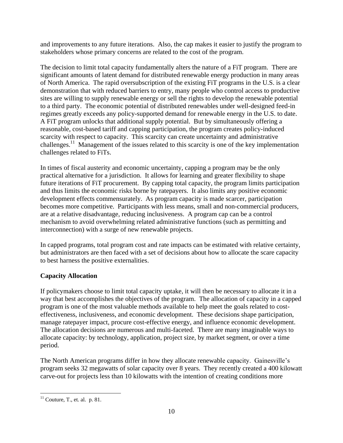and improvements to any future iterations. Also, the cap makes it easier to justify the program to stakeholders whose primary concerns are related to the cost of the program.

The decision to limit total capacity fundamentally alters the nature of a FiT program. There are significant amounts of latent demand for distributed renewable energy production in many areas of North America. The rapid oversubscription of the existing FiT programs in the U.S. is a clear demonstration that with reduced barriers to entry, many people who control access to productive sites are willing to supply renewable energy or sell the rights to develop the renewable potential to a third party. The economic potential of distributed renewables under well-designed feed-in regimes greatly exceeds any policy-supported demand for renewable energy in the U.S. to date. A FiT program unlocks that additional supply potential. But by simultaneously offering a reasonable, cost-based tariff and capping participation, the program creates policy-induced scarcity with respect to capacity. This scarcity can create uncertainty and administrative challenges.<sup>11</sup> Management of the issues related to this scarcity is one of the key implementation challenges related to FiTs.

In times of fiscal austerity and economic uncertainty, capping a program may be the only practical alternative for a jurisdiction. It allows for learning and greater flexibility to shape future iterations of FiT procurement. By capping total capacity, the program limits participation and thus limits the economic risks borne by ratepayers. It also limits any positive economic development effects commensurately. As program capacity is made scarcer, participation becomes more competitive. Participants with less means, small and non-commercial producers, are at a relative disadvantage, reducing inclusiveness. A program cap can be a control mechanism to avoid overwhelming related administrative functions (such as permitting and interconnection) with a surge of new renewable projects.

In capped programs, total program cost and rate impacts can be estimated with relative certainty, but administrators are then faced with a set of decisions about how to allocate the scare capacity to best harness the positive externalities.

# **Capacity Allocation**

If policymakers choose to limit total capacity uptake, it will then be necessary to allocate it in a way that best accomplishes the objectives of the program. The allocation of capacity in a capped program is one of the most valuable methods available to help meet the goals related to costeffectiveness, inclusiveness, and economic development. These decisions shape participation, manage ratepayer impact, procure cost-effective energy, and influence economic development. The allocation decisions are numerous and multi-faceted. There are many imaginable ways to allocate capacity: by technology, application, project size, by market segment, or over a time period.

The North American programs differ in how they allocate renewable capacity. Gainesville's program seeks 32 megawatts of solar capacity over 8 years. They recently created a 400 kilowatt carve-out for projects less than 10 kilowatts with the intention of creating conditions more

 $\overline{\phantom{a}}$  $11$  Couture, T., et. al. p. 81.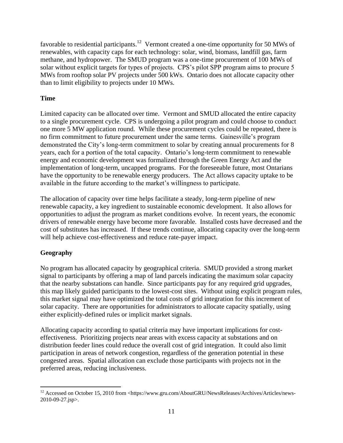favorable to residential participants.<sup>12</sup> Vermont created a one-time opportunity for 50 MWs of renewables, with capacity caps for each technology: solar, wind, biomass, landfill gas, farm methane, and hydropower. The SMUD program was a one-time procurement of 100 MWs of solar without explicit targets for types of projects. CPS's pilot SPP program aims to procure 5 MWs from rooftop solar PV projects under 500 kWs. Ontario does not allocate capacity other than to limit eligibility to projects under 10 MWs.

## **Time**

Limited capacity can be allocated over time. Vermont and SMUD allocated the entire capacity to a single procurement cycle. CPS is undergoing a pilot program and could choose to conduct one more 5 MW application round. While these procurement cycles could be repeated, there is no firm commitment to future procurement under the same terms. Gainesville's program demonstrated the City's long-term commitment to solar by creating annual procurements for 8 years, each for a portion of the total capacity. Ontario's long-term commitment to renewable energy and economic development was formalized through the Green Energy Act and the implementation of long-term, uncapped programs. For the foreseeable future, most Ontarians have the opportunity to be renewable energy producers. The Act allows capacity uptake to be available in the future according to the market's willingness to participate.

The allocation of capacity over time helps facilitate a steady, long-term pipeline of new renewable capacity, a key ingredient to sustainable economic development. It also allows for opportunities to adjust the program as market conditions evolve. In recent years, the economic drivers of renewable energy have become more favorable. Installed costs have decreased and the cost of substitutes has increased. If these trends continue, allocating capacity over the long-term will help achieve cost-effectiveness and reduce rate-payer impact.

## **Geography**

 $\overline{a}$ 

No program has allocated capacity by geographical criteria. SMUD provided a strong market signal to participants by offering a map of land parcels indicating the maximum solar capacity that the nearby substations can handle. Since participants pay for any required grid upgrades, this map likely guided participants to the lowest-cost sites. Without using explicit program rules, this market signal may have optimized the total costs of grid integration for this increment of solar capacity. There are opportunities for administrators to allocate capacity spatially, using either explicitly-defined rules or implicit market signals.

Allocating capacity according to spatial criteria may have important implications for costeffectiveness. Prioritizing projects near areas with excess capacity at substations and on distribution feeder lines could reduce the overall cost of grid integration. It could also limit participation in areas of network congestion, regardless of the generation potential in these congested areas. Spatial allocation can exclude those participants with projects not in the preferred areas, reducing inclusiveness.

<sup>&</sup>lt;sup>12</sup> Accessed on October 15, 2010 from <https://www.gru.com/AboutGRU/NewsReleases/Archives/Articles/news-2010-09-27.jsp>.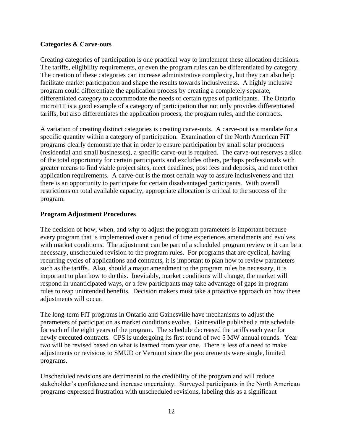#### **Categories & Carve-outs**

Creating categories of participation is one practical way to implement these allocation decisions. The tariffs, eligibility requirements, or even the program rules can be differentiated by category. The creation of these categories can increase administrative complexity, but they can also help facilitate market participation and shape the results towards inclusiveness. A highly inclusive program could differentiate the application process by creating a completely separate, differentiated category to accommodate the needs of certain types of participants. The Ontario microFIT is a good example of a category of participation that not only provides differentiated tariffs, but also differentiates the application process, the program rules, and the contracts.

A variation of creating distinct categories is creating carve-outs. A carve-out is a mandate for a specific quantity within a category of participation. Examination of the North American FiT programs clearly demonstrate that in order to ensure participation by small solar producers (residential and small businesses), a specific carve-out is required. The carve-out reserves a slice of the total opportunity for certain participants and excludes others, perhaps professionals with greater means to find viable project sites, meet deadlines, post fees and deposits, and meet other application requirements. A carve-out is the most certain way to assure inclusiveness and that there is an opportunity to participate for certain disadvantaged participants. With overall restrictions on total available capacity, appropriate allocation is critical to the success of the program.

## **Program Adjustment Procedures**

The decision of how, when, and why to adjust the program parameters is important because every program that is implemented over a period of time experiences amendments and evolves with market conditions. The adjustment can be part of a scheduled program review or it can be a necessary, unscheduled revision to the program rules. For programs that are cyclical, having recurring cycles of applications and contracts, it is important to plan how to review parameters such as the tariffs. Also, should a major amendment to the program rules be necessary, it is important to plan how to do this. Inevitably, market conditions will change, the market will respond in unanticipated ways, or a few participants may take advantage of gaps in program rules to reap unintended benefits. Decision makers must take a proactive approach on how these adjustments will occur.

The long-term FiT programs in Ontario and Gainesville have mechanisms to adjust the parameters of participation as market conditions evolve. Gainesville published a rate schedule for each of the eight years of the program. The schedule decreased the tariffs each year for newly executed contracts. CPS is undergoing its first round of two 5 MW annual rounds. Year two will be revised based on what is learned from year one. There is less of a need to make adjustments or revisions to SMUD or Vermont since the procurements were single, limited programs.

Unscheduled revisions are detrimental to the credibility of the program and will reduce stakeholder's confidence and increase uncertainty. Surveyed participants in the North American programs expressed frustration with unscheduled revisions, labeling this as a significant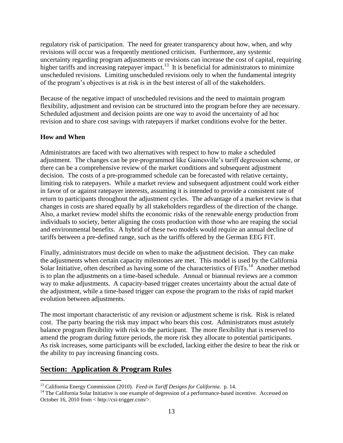regulatory risk of participation. The need for greater transparency about how, when, and why revisions will occur was a frequently mentioned criticism. Furthermore, any systemic uncertainty regarding program adjustments or revisions can increase the cost of capital, requiring higher tariffs and increasing ratepayer impact.<sup>13</sup> It is beneficial for administrators to minimize unscheduled revisions. Limiting unscheduled revisions only to when the fundamental integrity of the program's objectives is at risk is in the best interest of all of the stakeholders.

Because of the negative impact of unscheduled revisions and the need to maintain program flexibility, adjustment and revision can be structured into the program before they are necessary. Scheduled adjustment and decision points are one way to avoid the uncertainty of ad hoc revision and to share cost savings with ratepayers if market conditions evolve for the better.

#### **How and When**

Administrators are faced with two alternatives with respect to how to make a scheduled adjustment. The changes can be pre-programmed like Gainesville's tariff degression scheme, or there can be a comprehensive review of the market conditions and subsequent adjustment decision. The costs of a pre-programmed schedule can be forecasted with relative certainty, limiting risk to ratepayers. While a market review and subsequent adjustment could work either in favor of or against ratepayer interests, assuming it is intended to provide a consistent rate of return to participants throughout the adjustment cycles. The advantage of a market review is that changes in costs are shared equally by all stakeholders regardless of the direction of the change. Also, a market review model shifts the economic risks of the renewable energy production from individuals to society, better aligning the costs production with those who are reaping the social and environmental benefits. A hybrid of these two models would require an annual decline of tariffs between a pre-defined range, such as the tariffs offered by the German EEG FiT.

Finally, administrators must decide on when to make the adjustment decision. They can make the adjustments when certain capacity milestones are met. This model is used by the California Solar Initiative, often described as having some of the characteristics of FiTs.<sup>14</sup> Another method is to plan the adjustments on a time-based schedule. Annual or biannual reviews are a common way to make adjustments. A capacity-based trigger creates uncertainty about the actual date of the adjustment, while a time-based trigger can expose the program to the risks of rapid market evolution between adjustments.

The most important characteristic of any revision or adjustment scheme is risk. Risk is related cost. The party bearing the risk may impact who bears this cost. Administrators must astutely balance program flexibility with risk to the participant. The more flexibility that is reserved to amend the program during future periods, the more risk they allocate to potential participants. As risk increases, some participants will be excluded, lacking either the desire to bear the risk or the ability to pay increasing financing costs.

## **Section: Application & Program Rules**

 $\overline{\phantom{a}}$ <sup>13</sup> California Energy Commission (2010). *Feed-in Tariff Designs for California*. p. 14.

<sup>&</sup>lt;sup>14</sup> The California Solar Initiative is one example of degression of a performance-based incentive. Accessed on October 16, 2010 from < http://csi-trigger.com/>.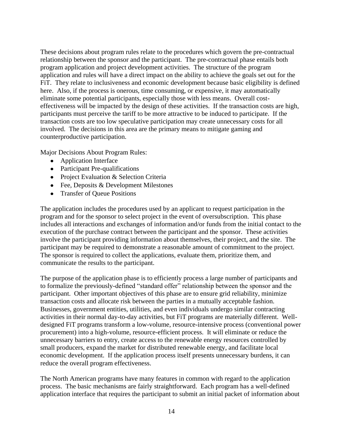These decisions about program rules relate to the procedures which govern the pre-contractual relationship between the sponsor and the participant. The pre-contractual phase entails both program application and project development activities. The structure of the program application and rules will have a direct impact on the ability to achieve the goals set out for the FiT. They relate to inclusiveness and economic development because basic eligibility is defined here. Also, if the process is onerous, time consuming, or expensive, it may automatically eliminate some potential participants, especially those with less means. Overall costeffectiveness will be impacted by the design of these activities. If the transaction costs are high, participants must perceive the tariff to be more attractive to be induced to participate. If the transaction costs are too low speculative participation may create unnecessary costs for all involved. The decisions in this area are the primary means to mitigate gaming and counterproductive participation.

Major Decisions About Program Rules:

- Application Interface
- Participant Pre-qualifications
- Project Evaluation & Selection Criteria
- Fee, Deposits & Development Milestones
- Transfer of Queue Positions

The application includes the procedures used by an applicant to request participation in the program and for the sponsor to select project in the event of oversubscription. This phase includes all interactions and exchanges of information and/or funds from the initial contact to the execution of the purchase contract between the participant and the sponsor. These activities involve the participant providing information about themselves, their project, and the site. The participant may be required to demonstrate a reasonable amount of commitment to the project. The sponsor is required to collect the applications, evaluate them, prioritize them, and communicate the results to the participant.

The purpose of the application phase is to efficiently process a large number of participants and to formalize the previously-defined "standard offer" relationship between the sponsor and the participant. Other important objectives of this phase are to ensure grid reliability, minimize transaction costs and allocate risk between the parties in a mutually acceptable fashion. Businesses, government entities, utilities, and even individuals undergo similar contracting activities in their normal day-to-day activities, but FiT programs are materially different. Welldesigned FiT programs transform a low-volume, resource-intensive process (conventional power procurement) into a high-volume, resource-efficient process. It will eliminate or reduce the unnecessary barriers to entry, create access to the renewable energy resources controlled by small producers, expand the market for distributed renewable energy, and facilitate local economic development. If the application process itself presents unnecessary burdens, it can reduce the overall program effectiveness.

The North American programs have many features in common with regard to the application process. The basic mechanisms are fairly straightforward. Each program has a well-defined application interface that requires the participant to submit an initial packet of information about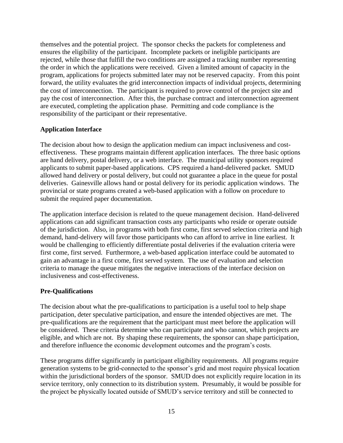themselves and the potential project. The sponsor checks the packets for completeness and ensures the eligibility of the participant. Incomplete packets or ineligible participants are rejected, while those that fulfill the two conditions are assigned a tracking number representing the order in which the applications were received. Given a limited amount of capacity in the program, applications for projects submitted later may not be reserved capacity. From this point forward, the utility evaluates the grid interconnection impacts of individual projects, determining the cost of interconnection. The participant is required to prove control of the project site and pay the cost of interconnection. After this, the purchase contract and interconnection agreement are executed, completing the application phase. Permitting and code compliance is the responsibility of the participant or their representative.

## **Application Interface**

The decision about how to design the application medium can impact inclusiveness and costeffectiveness. These programs maintain different application interfaces. The three basic options are hand delivery, postal delivery, or a web interface. The municipal utility sponsors required applicants to submit paper-based applications. CPS required a hand-delivered packet. SMUD allowed hand delivery or postal delivery, but could not guarantee a place in the queue for postal deliveries. Gainesville allows hand or postal delivery for its periodic application windows. The provincial or state programs created a web-based application with a follow on procedure to submit the required paper documentation.

The application interface decision is related to the queue management decision. Hand-delivered applications can add significant transaction costs any participants who reside or operate outside of the jurisdiction. Also, in programs with both first come, first served selection criteria and high demand, hand-delivery will favor those participants who can afford to arrive in line earliest. It would be challenging to efficiently differentiate postal deliveries if the evaluation criteria were first come, first served. Furthermore, a web-based application interface could be automated to gain an advantage in a first come, first served system. The use of evaluation and selection criteria to manage the queue mitigates the negative interactions of the interface decision on inclusiveness and cost-effectiveness.

#### **Pre-Qualifications**

The decision about what the pre-qualifications to participation is a useful tool to help shape participation, deter speculative participation, and ensure the intended objectives are met. The pre-qualifications are the requirement that the participant must meet before the application will be considered. These criteria determine who can participate and who cannot, which projects are eligible, and which are not. By shaping these requirements, the sponsor can shape participation, and therefore influence the economic development outcomes and the program's costs.

These programs differ significantly in participant eligibility requirements. All programs require generation systems to be grid-connected to the sponsor's grid and most require physical location within the jurisdictional borders of the sponsor. SMUD does not explicitly require location in its service territory, only connection to its distribution system. Presumably, it would be possible for the project be physically located outside of SMUD's service territory and still be connected to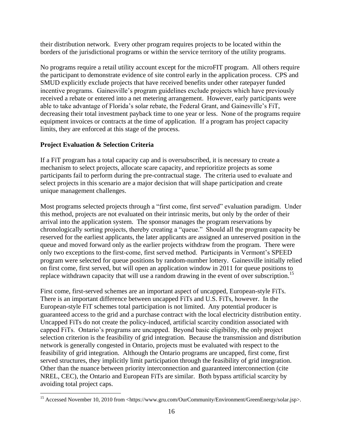their distribution network. Every other program requires projects to be located within the borders of the jurisdictional programs or within the service territory of the utility programs.

No programs require a retail utility account except for the microFIT program. All others require the participant to demonstrate evidence of site control early in the application process. CPS and SMUD explicitly exclude projects that have received benefits under other ratepayer funded incentive programs. Gainesville's program guidelines exclude projects which have previously received a rebate or entered into a net metering arrangement. However, early participants were able to take advantage of Florida's solar rebate, the Federal Grant, and Gainesville's FiT, decreasing their total investment payback time to one year or less. None of the programs require equipment invoices or contracts at the time of application. If a program has project capacity limits, they are enforced at this stage of the process.

## **Project Evaluation & Selection Criteria**

If a FiT program has a total capacity cap and is oversubscribed, it is necessary to create a mechanism to select projects, allocate scare capacity, and reprioritize projects as some participants fail to perform during the pre-contractual stage. The criteria used to evaluate and select projects in this scenario are a major decision that will shape participation and create unique management challenges.

Most programs selected projects through a "first come, first served" evaluation paradigm. Under this method, projects are not evaluated on their intrinsic merits, but only by the order of their arrival into the application system. The sponsor manages the program reservations by chronologically sorting projects, thereby creating a "queue." Should all the program capacity be reserved for the earliest applicants, the later applicants are assigned an unreserved position in the queue and moved forward only as the earlier projects withdraw from the program. There were only two exceptions to the first-come, first served method. Participants in Vermont's SPEED program were selected for queue positions by random-number lottery. Gainesville initially relied on first come, first served, but will open an application window in 2011 for queue positions to replace withdrawn capacity that will use a random drawing in the event of over subscription.<sup>15</sup>

First come, first-served schemes are an important aspect of uncapped, European-style FiTs. There is an important difference between uncapped FiTs and U.S. FiTs, however. In the European-style FiT schemes total participation is not limited. Any potential producer is guaranteed access to the grid and a purchase contract with the local electricity distribution entity. Uncapped FiTs do not create the policy-induced, artificial scarcity condition associated with capped FiTs. Ontario's programs are uncapped. Beyond basic eligibility, the only project selection criterion is the feasibility of grid integration. Because the transmission and distribution network is generally congested in Ontario, projects must be evaluated with respect to the feasibility of grid integration. Although the Ontario programs are uncapped, first come, first served structures, they implicitly limit participation through the feasibility of grid integration. Other than the nuance between priority interconnection and guaranteed interconnection (cite NREL, CEC), the Ontario and European FiTs are similar. Both bypass artificial scarcity by avoiding total project caps.

 $\overline{\phantom{a}}$ <sup>15</sup> Accessed November 10, 2010 from <https://www.gru.com/OurCommunity/Environment/GreenEnergy/solar.jsp>.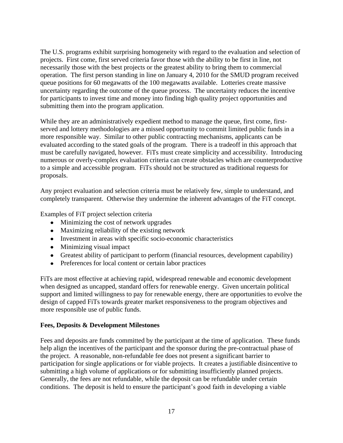The U.S. programs exhibit surprising homogeneity with regard to the evaluation and selection of projects. First come, first served criteria favor those with the ability to be first in line, not necessarily those with the best projects or the greatest ability to bring them to commercial operation. The first person standing in line on January 4, 2010 for the SMUD program received queue positions for 60 megawatts of the 100 megawatts available. Lotteries create massive uncertainty regarding the outcome of the queue process. The uncertainty reduces the incentive for participants to invest time and money into finding high quality project opportunities and submitting them into the program application.

While they are an administratively expedient method to manage the queue, first come, firstserved and lottery methodologies are a missed opportunity to commit limited public funds in a more responsible way. Similar to other public contracting mechanisms, applicants can be evaluated according to the stated goals of the program. There is a tradeoff in this approach that must be carefully navigated, however. FiTs must create simplicity and accessibility. Introducing numerous or overly-complex evaluation criteria can create obstacles which are counterproductive to a simple and accessible program. FiTs should not be structured as traditional requests for proposals.

Any project evaluation and selection criteria must be relatively few, simple to understand, and completely transparent. Otherwise they undermine the inherent advantages of the FiT concept.

Examples of FiT project selection criteria

- Minimizing the cost of network upgrades
- Maximizing reliability of the existing network
- Investment in areas with specific socio-economic characteristics
- Minimizing visual impact
- Greatest ability of participant to perform (financial resources, development capability)
- Preferences for local content or certain labor practices

FiTs are most effective at achieving rapid, widespread renewable and economic development when designed as uncapped, standard offers for renewable energy. Given uncertain political support and limited willingness to pay for renewable energy, there are opportunities to evolve the design of capped FiTs towards greater market responsiveness to the program objectives and more responsible use of public funds.

## **Fees, Deposits & Development Milestones**

Fees and deposits are funds committed by the participant at the time of application. These funds help align the incentives of the participant and the sponsor during the pre-contractual phase of the project. A reasonable, non-refundable fee does not present a significant barrier to participation for single applications or for viable projects. It creates a justifiable disincentive to submitting a high volume of applications or for submitting insufficiently planned projects. Generally, the fees are not refundable, while the deposit can be refundable under certain conditions. The deposit is held to ensure the participant's good faith in developing a viable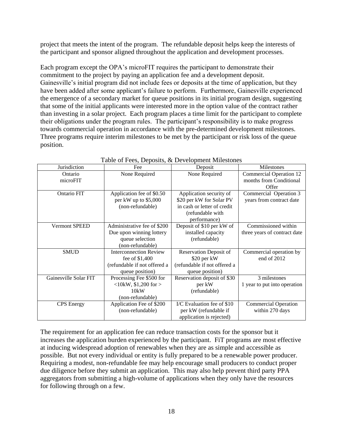project that meets the intent of the program. The refundable deposit helps keep the interests of the participant and sponsor aligned throughout the application and development processes.

Each program except the OPA's microFIT requires the participant to demonstrate their commitment to the project by paying an application fee and a development deposit. Gainesville's initial program did not include fees or deposits at the time of application, but they have been added after some applicant's failure to perform. Furthermore, Gainesville experienced the emergence of a secondary market for queue positions in its initial program design, suggesting that some of the initial applicants were interested more in the option value of the contract rather than investing in a solar project. Each program places a time limit for the participant to complete their obligations under the program rules. The participant's responsibility is to make progress towards commercial operation in accordance with the pre-determined development milestones. Three programs require interim milestones to be met by the participant or risk loss of the queue position.

| Jurisdiction          | Fee                           | Deposit                       | Milestones                   |
|-----------------------|-------------------------------|-------------------------------|------------------------------|
| Ontario               | None Required                 | None Required                 | Commercial Operation 12      |
| microFIT              |                               |                               | months from Conditional      |
|                       |                               |                               | Offer                        |
| Ontario FIT           | Application fee of \$0.50     | Application security of       | Commercial Operation 3       |
|                       | per kW up to \$5,000          | \$20 per kW for Solar PV      | years from contract date     |
|                       | (non-refundable)              | in cash or letter of credit   |                              |
|                       |                               | (refundable with              |                              |
|                       |                               | performance)                  |                              |
| <b>Vermont SPEED</b>  | Administrative fee of \$200   | Deposit of \$10 per kW of     | Commissioned within          |
|                       | Due upon winning lottery      | installed capacity            | three years of contract date |
|                       | queue selection               | (refundable)                  |                              |
|                       | (non-refundable)              |                               |                              |
| <b>SMUD</b>           | <b>Interconnection Review</b> | <b>Reservation Deposit of</b> | Commercial operation by      |
|                       | fee of \$1,400                | \$20 per kW                   | end of 2012                  |
|                       | (refundable if not offered a  | (refundable if not offered a  |                              |
|                       | queue position)               | queue position)               |                              |
| Gainesville Solar FIT | Processing Fee \$500 for      | Reservation deposit of \$30   | 3 milestones                 |
|                       | $<10$ kW, \$1,200 for $>$     | per kW                        | 1 year to put into operation |
|                       | 10kW                          | (refundable)                  |                              |
|                       | (non-refundable)              |                               |                              |
| <b>CPS</b> Energy     | Application Fee of \$200      | I/C Evaluation fee of \$10    | <b>Commercial Operation</b>  |
|                       | (non-refundable)              | per kW (refundable if         | within 270 days              |
|                       |                               | application is rejected)      |                              |

Table of Fees, Deposits, & Development Milestones

The requirement for an application fee can reduce transaction costs for the sponsor but it increases the application burden experienced by the participant. FiT programs are most effective at inducing widespread adoption of renewables when they are as simple and accessible as possible. But not every individual or entity is fully prepared to be a renewable power producer. Requiring a modest, non-refundable fee may help encourage small producers to conduct proper due diligence before they submit an application. This may also help prevent third party PPA aggregators from submitting a high-volume of applications when they only have the resources for following through on a few.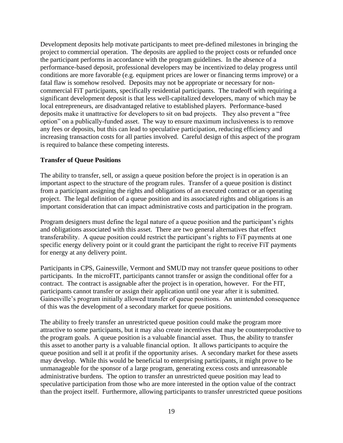Development deposits help motivate participants to meet pre-defined milestones in bringing the project to commercial operation. The deposits are applied to the project costs or refunded once the participant performs in accordance with the program guidelines. In the absence of a performance-based deposit, professional developers may be incentivized to delay progress until conditions are more favorable (e.g. equipment prices are lower or financing terms improve) or a fatal flaw is somehow resolved. Deposits may not be appropriate or necessary for noncommercial FiT participants, specifically residential participants. The tradeoff with requiring a significant development deposit is that less well-capitalized developers, many of which may be local entrepreneurs, are disadvantaged relative to established players. Performance-based deposits make it unattractive for developers to sit on bad projects. They also prevent a "free option" on a publically-funded asset. The way to ensure maximum inclusiveness is to remove any fees or deposits, but this can lead to speculative participation, reducing efficiency and increasing transaction costs for all parties involved. Careful design of this aspect of the program is required to balance these competing interests.

#### **Transfer of Queue Positions**

The ability to transfer, sell, or assign a queue position before the project is in operation is an important aspect to the structure of the program rules. Transfer of a queue position is distinct from a participant assigning the rights and obligations of an executed contract or an operating project. The legal definition of a queue position and its associated rights and obligations is an important consideration that can impact administrative costs and participation in the program.

Program designers must define the legal nature of a queue position and the participant's rights and obligations associated with this asset. There are two general alternatives that effect transferability. A queue position could restrict the participant's rights to FiT payments at one specific energy delivery point or it could grant the participant the right to receive FiT payments for energy at any delivery point.

Participants in CPS, Gainesville, Vermont and SMUD may not transfer queue positions to other participants. In the microFIT, participants cannot transfer or assign the conditional offer for a contract. The contract is assignable after the project is in operation, however. For the FIT, participants cannot transfer or assign their application until one year after it is submitted. Gainesville's program initially allowed transfer of queue positions. An unintended consequence of this was the development of a secondary market for queue positions.

The ability to freely transfer an unrestricted queue position could make the program more attractive to some participants, but it may also create incentives that may be counterproductive to the program goals. A queue position is a valuable financial asset. Thus, the ability to transfer this asset to another party is a valuable financial option. It allows participants to acquire the queue position and sell it at profit if the opportunity arises. A secondary market for these assets may develop. While this would be beneficial to enterprising participants, it might prove to be unmanageable for the sponsor of a large program, generating excess costs and unreasonable administrative burdens. The option to transfer an unrestricted queue position may lead to speculative participation from those who are more interested in the option value of the contract than the project itself. Furthermore, allowing participants to transfer unrestricted queue positions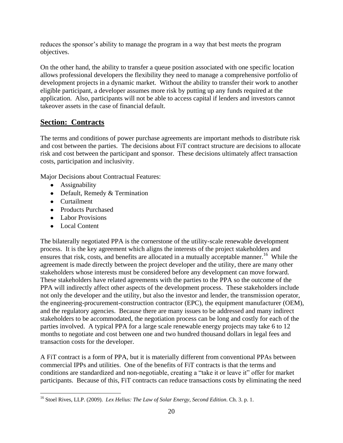reduces the sponsor's ability to manage the program in a way that best meets the program objectives.

On the other hand, the ability to transfer a queue position associated with one specific location allows professional developers the flexibility they need to manage a comprehensive portfolio of development projects in a dynamic market. Without the ability to transfer their work to another eligible participant, a developer assumes more risk by putting up any funds required at the application. Also, participants will not be able to access capital if lenders and investors cannot takeover assets in the case of financial default.

# **Section: Contracts**

The terms and conditions of power purchase agreements are important methods to distribute risk and cost between the parties. The decisions about FiT contract structure are decisions to allocate risk and cost between the participant and sponsor. These decisions ultimately affect transaction costs, participation and inclusivity.

Major Decisions about Contractual Features:

- Assignability
- Default, Remedy & Termination
- Curtailment
- Products Purchased
- Labor Provisions
- Local Content

The bilaterally negotiated PPA is the cornerstone of the utility-scale renewable development process. It is the key agreement which aligns the interests of the project stakeholders and ensures that risk, costs, and benefits are allocated in a mutually acceptable manner.<sup>16</sup> While the agreement is made directly between the project developer and the utility, there are many other stakeholders whose interests must be considered before any development can move forward. These stakeholders have related agreements with the parties to the PPA so the outcome of the PPA will indirectly affect other aspects of the development process. These stakeholders include not only the developer and the utility, but also the investor and lender, the transmission operator, the engineering-procurement-construction contractor (EPC), the equipment manufacturer (OEM), and the regulatory agencies. Because there are many issues to be addressed and many indirect stakeholders to be accommodated, the negotiation process can be long and costly for each of the parties involved. A typical PPA for a large scale renewable energy projects may take 6 to 12 months to negotiate and cost between one and two hundred thousand dollars in legal fees and transaction costs for the developer.

A FiT contract is a form of PPA, but it is materially different from conventional PPAs between commercial IPPs and utilities. One of the benefits of FiT contracts is that the terms and conditions are standardized and non-negotiable, creating a "take it or leave it" offer for market participants. Because of this, FiT contracts can reduce transactions costs by eliminating the need

 $\overline{\phantom{a}}$ <sup>16</sup> Stoel Rives, LLP. (2009). *Lex Helius: The Law of Solar Energy, Second Edition*. Ch. 3. p. 1.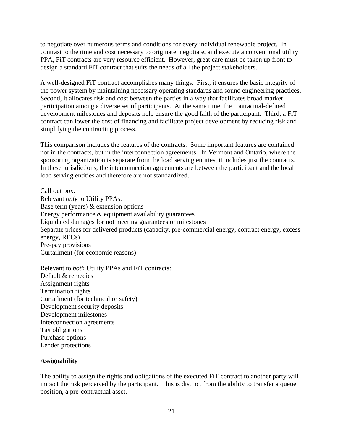to negotiate over numerous terms and conditions for every individual renewable project. In contrast to the time and cost necessary to originate, negotiate, and execute a conventional utility PPA, FiT contracts are very resource efficient. However, great care must be taken up front to design a standard FiT contract that suits the needs of all the project stakeholders.

A well-designed FiT contract accomplishes many things. First, it ensures the basic integrity of the power system by maintaining necessary operating standards and sound engineering practices. Second, it allocates risk and cost between the parties in a way that facilitates broad market participation among a diverse set of participants. At the same time, the contractual-defined development milestones and deposits help ensure the good faith of the participant. Third, a FiT contract can lower the cost of financing and facilitate project development by reducing risk and simplifying the contracting process.

This comparison includes the features of the contracts. Some important features are contained not in the contracts, but in the interconnection agreements. In Vermont and Ontario, where the sponsoring organization is separate from the load serving entities, it includes just the contracts. In these jurisdictions, the interconnection agreements are between the participant and the local load serving entities and therefore are not standardized.

Call out box: Relevant *only* to Utility PPAs: Base term (years) & extension options Energy performance & equipment availability guarantees Liquidated damages for not meeting guarantees or milestones Separate prices for delivered products (capacity, pre-commercial energy, contract energy, excess energy, RECs) Pre-pay provisions Curtailment (for economic reasons)

Relevant to *both* Utility PPAs and FiT contracts: Default & remedies Assignment rights Termination rights Curtailment (for technical or safety) Development security deposits Development milestones Interconnection agreements Tax obligations Purchase options Lender protections

#### **Assignability**

The ability to assign the rights and obligations of the executed FiT contract to another party will impact the risk perceived by the participant. This is distinct from the ability to transfer a queue position, a pre-contractual asset.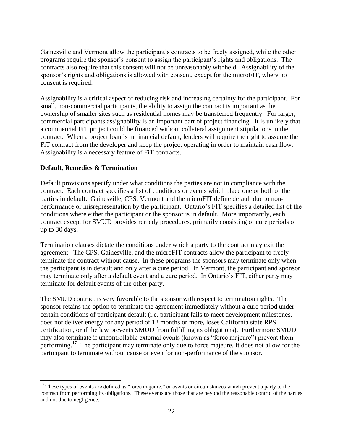Gainesville and Vermont allow the participant's contracts to be freely assigned, while the other programs require the sponsor's consent to assign the participant's rights and obligations. The contracts also require that this consent will not be unreasonably withheld. Assignability of the sponsor's rights and obligations is allowed with consent, except for the microFIT, where no consent is required.

Assignability is a critical aspect of reducing risk and increasing certainty for the participant. For small, non-commercial participants, the ability to assign the contract is important as the ownership of smaller sites such as residential homes may be transferred frequently. For larger, commercial participants assignability is an important part of project financing. It is unlikely that a commercial FiT project could be financed without collateral assignment stipulations in the contract. When a project loan is in financial default, lenders will require the right to assume the FiT contract from the developer and keep the project operating in order to maintain cash flow. Assignability is a necessary feature of FiT contracts.

#### **Default, Remedies & Termination**

Default provisions specify under what conditions the parties are not in compliance with the contract. Each contract specifies a list of conditions or events which place one or both of the parties in default. Gainesville, CPS, Vermont and the microFIT define default due to nonperformance or misrepresentation by the participant. Ontario's FIT specifies a detailed list of the conditions where either the participant or the sponsor is in default. More importantly, each contract except for SMUD provides remedy procedures, primarily consisting of cure periods of up to 30 days.

Termination clauses dictate the conditions under which a party to the contract may exit the agreement. The CPS, Gainesville, and the microFIT contracts allow the participant to freely terminate the contract without cause. In these programs the sponsors may terminate only when the participant is in default and only after a cure period. In Vermont, the participant and sponsor may terminate only after a default event and a cure period. In Ontario's FIT, either party may terminate for default events of the other party.

The SMUD contract is very favorable to the sponsor with respect to termination rights. The sponsor retains the option to terminate the agreement immediately without a cure period under certain conditions of participant default (i.e. participant fails to meet development milestones, does not deliver energy for any period of 12 months or more, loses California state RPS certification, or if the law prevents SMUD from fulfilling its obligations). Furthermore SMUD may also terminate if uncontrollable external events (known as "force majeure") prevent them performing.<sup>17</sup> The participant may terminate only due to force majeure. It does not allow for the participant to terminate without cause or even for non-performance of the sponsor.

 $\overline{\phantom{a}}$  $17$  These types of events are defined as "force majeure," or events or circumstances which prevent a party to the contract from performing its obligations. These events are those that are beyond the reasonable control of the parties and not due to negligence.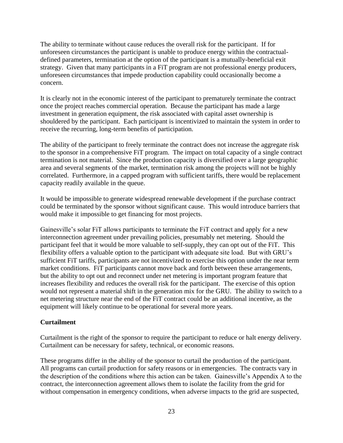The ability to terminate without cause reduces the overall risk for the participant. If for unforeseen circumstances the participant is unable to produce energy within the contractualdefined parameters, termination at the option of the participant is a mutually-beneficial exit strategy. Given that many participants in a FiT program are not professional energy producers, unforeseen circumstances that impede production capability could occasionally become a concern.

It is clearly not in the economic interest of the participant to prematurely terminate the contract once the project reaches commercial operation. Because the participant has made a large investment in generation equipment, the risk associated with capital asset ownership is shouldered by the participant. Each participant is incentivized to maintain the system in order to receive the recurring, long-term benefits of participation.

The ability of the participant to freely terminate the contract does not increase the aggregate risk to the sponsor in a comprehensive FiT program. The impact on total capacity of a single contract termination is not material. Since the production capacity is diversified over a large geographic area and several segments of the market, termination risk among the projects will not be highly correlated. Furthermore, in a capped program with sufficient tariffs, there would be replacement capacity readily available in the queue.

It would be impossible to generate widespread renewable development if the purchase contract could be terminated by the sponsor without significant cause. This would introduce barriers that would make it impossible to get financing for most projects.

Gainesville's solar FiT allows participants to terminate the FiT contract and apply for a new interconnection agreement under prevailing policies, presumably net metering. Should the participant feel that it would be more valuable to self-supply, they can opt out of the FiT. This flexibility offers a valuable option to the participant with adequate site load. But with GRU's sufficient FiT tariffs, participants are not incentivized to exercise this option under the near term market conditions. FiT participants cannot move back and forth between these arrangements, but the ability to opt out and reconnect under net metering is important program feature that increases flexibility and reduces the overall risk for the participant. The exercise of this option would not represent a material shift in the generation mix for the GRU. The ability to switch to a net metering structure near the end of the FiT contract could be an additional incentive, as the equipment will likely continue to be operational for several more years.

## **Curtailment**

Curtailment is the right of the sponsor to require the participant to reduce or halt energy delivery. Curtailment can be necessary for safety, technical, or economic reasons.

These programs differ in the ability of the sponsor to curtail the production of the participant. All programs can curtail production for safety reasons or in emergencies. The contracts vary in the description of the conditions where this action can be taken. Gainesville's Appendix A to the contract, the interconnection agreement allows them to isolate the facility from the grid for without compensation in emergency conditions, when adverse impacts to the grid are suspected,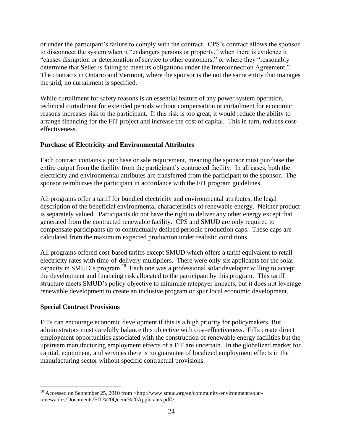or under the participant's failure to comply with the contract. CPS's contract allows the sponsor to disconnect the system when it "endangers persons or property," when there is evidence it "causes disruption or deterioration of service to other customers," or where they "reasonably determine that Seller is failing to meet its obligations under the Interconnection Agreement." The contracts in Ontario and Vermont, where the sponsor is the not the same entity that manages the grid, no curtailment is specified.

While curtailment for safety reasons is an essential feature of any power system operation, technical curtailment for extended periods without compensation or curtailment for economic reasons increases risk to the participant. If this risk is too great, it would reduce the ability to arrange financing for the FiT project and increase the cost of capital. This in turn, reduces costeffectiveness.

## **Purchase of Electricity and Environmental Attributes**

Each contract contains a purchase or sale requirement, meaning the sponsor must purchase the entire output from the facility from the participant's contracted facility. In all cases, both the electricity and environmental attributes are transferred from the participant to the sponsor. The sponsor reimburses the participant in accordance with the FiT program guidelines.

All programs offer a tariff for bundled electricity and environmental attributes, the legal description of the beneficial environmental characteristics of renewable energy. Neither product is separately valued. Participants do not have the right to deliver any other energy except that generated from the contracted renewable facility. CPS and SMUD are only required to compensate participants up to contractually defined periodic production caps. These caps are calculated from the maximum expected production under realistic conditions.

All programs offered cost-based tariffs except SMUD which offers a tariff equivalent to retail electricity rates with time-of-delivery multipliers. There were only six applicants for the solar capacity in SMUD's program.<sup>18</sup> Each one was a professional solar developer willing to accept the development and financing risk allocated to the participant by this program. This tariff structure meets SMUD's policy objective to minimize ratepayer impacts, but it does not leverage renewable development to create an inclusive program or spur local economic development.

## **Special Contract Provisions**

 $\overline{a}$ 

FiTs can encourage economic development if this is a high priority for policymakers. But administrators must carefully balance this objective with cost-effectiveness. FiTs create direct employment opportunities associated with the construction of renewable energy facilities but the upstream manufacturing employment effects of a FiT are uncertain. In the globalized market for capital, equipment, and services there is no guarantee of localized employment effects in the manufacturing sector without specific contractual provisions.

<sup>&</sup>lt;sup>18</sup> Accessed on September 25, 2010 from <http://www.smud.org/en/community-environment/solarrenewables/Documents/FIT%20Queue%20Applicants.pdf>.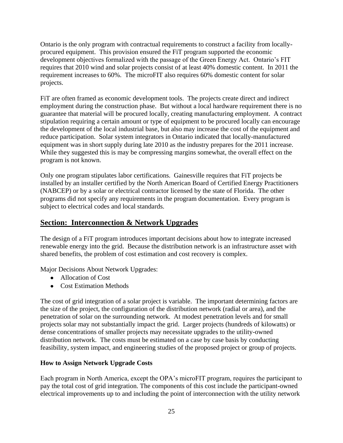Ontario is the only program with contractual requirements to construct a facility from locallyprocured equipment. This provision ensured the FiT program supported the economic development objectives formalized with the passage of the Green Energy Act. Ontario's FIT requires that 2010 wind and solar projects consist of at least 40% domestic content. In 2011 the requirement increases to 60%. The microFIT also requires 60% domestic content for solar projects.

FiT are often framed as economic development tools. The projects create direct and indirect employment during the construction phase. But without a local hardware requirement there is no guarantee that material will be procured locally, creating manufacturing employment. A contract stipulation requiring a certain amount or type of equipment to be procured locally can encourage the development of the local industrial base, but also may increase the cost of the equipment and reduce participation. Solar system integrators in Ontario indicated that locally-manufactured equipment was in short supply during late 2010 as the industry prepares for the 2011 increase. While they suggested this is may be compressing margins somewhat, the overall effect on the program is not known.

Only one program stipulates labor certifications. Gainesville requires that FiT projects be installed by an installer certified by the North American Board of Certified Energy Practitioners (NABCEP) or by a solar or electrical contractor licensed by the state of Florida. The other programs did not specify any requirements in the program documentation. Every program is subject to electrical codes and local standards.

# **Section: Interconnection & Network Upgrades**

The design of a FiT program introduces important decisions about how to integrate increased renewable energy into the grid. Because the distribution network is an infrastructure asset with shared benefits, the problem of cost estimation and cost recovery is complex.

Major Decisions About Network Upgrades:

- Allocation of Cost
- Cost Estimation Methods

The cost of grid integration of a solar project is variable. The important determining factors are the size of the project, the configuration of the distribution network (radial or area), and the penetration of solar on the surrounding network. At modest penetration levels and for small projects solar may not substantially impact the grid. Larger projects (hundreds of kilowatts) or dense concentrations of smaller projects may necessitate upgrades to the utility-owned distribution network. The costs must be estimated on a case by case basis by conducting feasibility, system impact, and engineering studies of the proposed project or group of projects.

## **How to Assign Network Upgrade Costs**

Each program in North America, except the OPA's microFIT program, requires the participant to pay the total cost of grid integration. The components of this cost include the participant-owned electrical improvements up to and including the point of interconnection with the utility network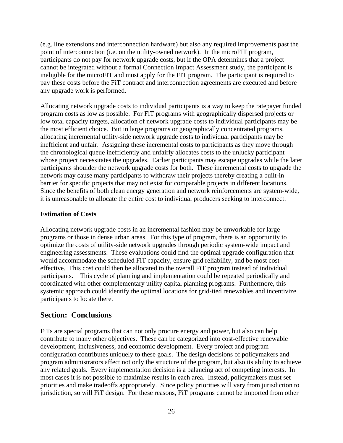(e.g. line extensions and interconnection hardware) but also any required improvements past the point of interconnection (i.e. on the utility-owned network). In the microFIT program, participants do not pay for network upgrade costs, but if the OPA determines that a project cannot be integrated without a formal Connection Impact Assessment study, the participant is ineligible for the microFIT and must apply for the FIT program. The participant is required to pay these costs before the FiT contract and interconnection agreements are executed and before any upgrade work is performed.

Allocating network upgrade costs to individual participants is a way to keep the ratepayer funded program costs as low as possible. For FiT programs with geographically dispersed projects or low total capacity targets, allocation of network upgrade costs to individual participants may be the most efficient choice. But in large programs or geographically concentrated programs, allocating incremental utility-side network upgrade costs to individual participants may be inefficient and unfair. Assigning these incremental costs to participants as they move through the chronological queue inefficiently and unfairly allocates costs to the unlucky participant whose project necessitates the upgrades. Earlier participants may escape upgrades while the later participants shoulder the network upgrade costs for both. These incremental costs to upgrade the network may cause many participants to withdraw their projects thereby creating a built-in barrier for specific projects that may not exist for comparable projects in different locations. Since the benefits of both clean energy generation and network reinforcements are system-wide, it is unreasonable to allocate the entire cost to individual producers seeking to interconnect.

#### **Estimation of Costs**

Allocating network upgrade costs in an incremental fashion may be unworkable for large programs or those in dense urban areas. For this type of program, there is an opportunity to optimize the costs of utility-side network upgrades through periodic system-wide impact and engineering assessments. These evaluations could find the optimal upgrade configuration that would accommodate the scheduled FiT capacity, ensure grid reliability, and be most costeffective. This cost could then be allocated to the overall FiT program instead of individual participants. This cycle of planning and implementation could be repeated periodically and coordinated with other complementary utility capital planning programs. Furthermore, this systemic approach could identify the optimal locations for grid-tied renewables and incentivize participants to locate there.

# **Section: Conclusions**

FiTs are special programs that can not only procure energy and power, but also can help contribute to many other objectives. These can be categorized into cost-effective renewable development, inclusiveness, and economic development. Every project and program configuration contributes uniquely to these goals. The design decisions of policymakers and program administrators affect not only the structure of the program, but also its ability to achieve any related goals. Every implementation decision is a balancing act of competing interests. In most cases it is not possible to maximize results in each area. Instead, policymakers must set priorities and make tradeoffs appropriately. Since policy priorities will vary from jurisdiction to jurisdiction, so will FiT design. For these reasons, FiT programs cannot be imported from other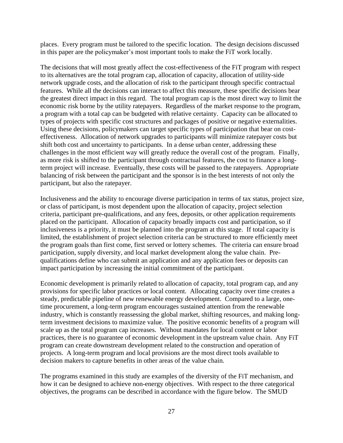places. Every program must be tailored to the specific location. The design decisions discussed in this paper are the policymaker's most important tools to make the FiT work locally.

The decisions that will most greatly affect the cost-effectiveness of the FiT program with respect to its alternatives are the total program cap, allocation of capacity, allocation of utility-side network upgrade costs, and the allocation of risk to the participant through specific contractual features. While all the decisions can interact to affect this measure, these specific decisions bear the greatest direct impact in this regard. The total program cap is the most direct way to limit the economic risk borne by the utility ratepayers. Regardless of the market response to the program, a program with a total cap can be budgeted with relative certainty. Capacity can be allocated to types of projects with specific cost structures and packages of positive or negative externalities. Using these decisions, policymakers can target specific types of participation that bear on costeffectiveness. Allocation of network upgrades to participants will minimize ratepayer costs but shift both cost and uncertainty to participants. In a dense urban center, addressing these challenges in the most efficient way will greatly reduce the overall cost of the program. Finally, as more risk is shifted to the participant through contractual features, the cost to finance a longterm project will increase. Eventually, these costs will be passed to the ratepayers. Appropriate balancing of risk between the participant and the sponsor is in the best interests of not only the participant, but also the ratepayer.

Inclusiveness and the ability to encourage diverse participation in terms of tax status, project size, or class of participant, is most dependent upon the allocation of capacity, project selection criteria, participant pre-qualifications, and any fees, deposits, or other application requirements placed on the participant. Allocation of capacity broadly impacts cost and participation, so if inclusiveness is a priority, it must be planned into the program at this stage. If total capacity is limited, the establishment of project selection criteria can be structured to more efficiently meet the program goals than first come, first served or lottery schemes. The criteria can ensure broad participation, supply diversity, and local market development along the value chain. Prequalifications define who can submit an application and any application fees or deposits can impact participation by increasing the initial commitment of the participant.

Economic development is primarily related to allocation of capacity, total program cap, and any provisions for specific labor practices or local content. Allocating capacity over time creates a steady, predictable pipeline of new renewable energy development. Compared to a large, onetime procurement, a long-term program encourages sustained attention from the renewable industry, which is constantly reassessing the global market, shifting resources, and making longterm investment decisions to maximize value. The positive economic benefits of a program will scale up as the total program cap increases. Without mandates for local content or labor practices, there is no guarantee of economic development in the upstream value chain. Any FiT program can create downstream development related to the construction and operation of projects. A long-term program and local provisions are the most direct tools available to decision makers to capture benefits in other areas of the value chain.

The programs examined in this study are examples of the diversity of the FiT mechanism, and how it can be designed to achieve non-energy objectives. With respect to the three categorical objectives, the programs can be described in accordance with the figure below. The SMUD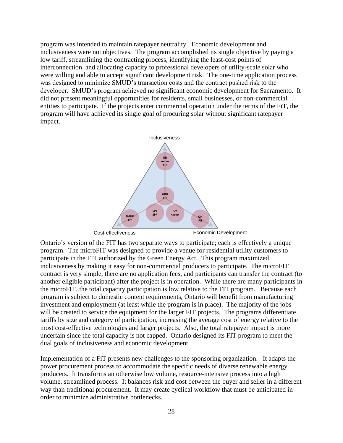program was intended to maintain ratepayer neutrality. Economic development and inclusiveness were not objectives. The program accomplished its single objective by paying a low tariff, streamlining the contracting process, identifying the least-cost points of interconnection, and allocating capacity to professional developers of utility-scale solar who were willing and able to accept significant development risk. The one-time application process was designed to minimize SMUD's transaction costs and the contract pushed risk to the developer. SMUD's program achieved no significant economic development for Sacramento. It did not present meaningful opportunities for residents, small businesses, or non-commercial entities to participate. If the projects enter commercial operation under the terms of the FiT, the program will have achieved its single goal of procuring solar without significant ratepayer impact.



Ontario's version of the FIT has two separate ways to participate; each is effectively a unique program. The microFIT was designed to provide a venue for residential utility customers to participate in the FIT authorized by the Green Energy Act. This program maximized inclusiveness by making it easy for non-commercial producers to participate. The microFIT contract is very simple, there are no application fees, and participants can transfer the contract (to another eligible participant) after the project is in operation. While there are many participants in the microFIT, the total capacity participation is low relative to the FIT program. Because each program is subject to domestic content requirements, Ontario will benefit from manufacturing investment and employment (at least while the program is in place). The majority of the jobs will be created to service the equipment for the larger FIT projects. The programs differentiate tariffs by size and category of participation, increasing the average cost of energy relative to the most cost-effective technologies and larger projects. Also, the total ratepayer impact is more uncertain since the total capacity is not capped. Ontario designed its FIT program to meet the dual goals of inclusiveness and economic development.

Implementation of a FiT presents new challenges to the sponsoring organization. It adapts the power procurement process to accommodate the specific needs of diverse renewable energy producers. It transforms an otherwise low volume, resource-intensive process into a high volume, streamlined process. It balances risk and cost between the buyer and seller in a different way than traditional procurement. It may create cyclical workflow that must be anticipated in order to minimize administrative bottlenecks.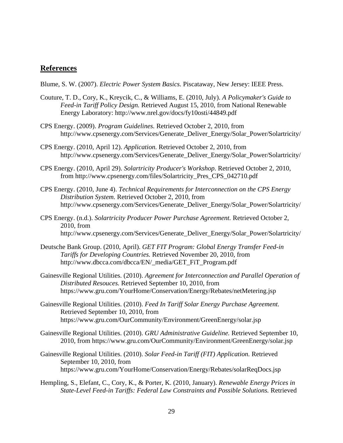## **References**

- Blume, S. W. (2007). *Electric Power System Basics.* Piscataway, New Jersey: IEEE Press.
- Couture, T. D., Cory, K., Kreycik, C., & Williams, E. (2010, July). *A Policymaker's Guide to Feed-in Tariff Policy Design.* Retrieved August 15, 2010, from National Renewable Energy Laboratory: http://www.nrel.gov/docs/fy10osti/44849.pdf
- CPS Energy. (2009). *Program Guidelines.* Retrieved October 2, 2010, from http://www.cpsenergy.com/Services/Generate\_Deliver\_Energy/Solar\_Power/Solartricity/
- CPS Energy. (2010, April 12). *Application.* Retrieved October 2, 2010, from http://www.cpsenergy.com/Services/Generate\_Deliver\_Energy/Solar\_Power/Solartricity/
- CPS Energy. (2010, April 29). *Solartricity Producer's Workshop.* Retrieved October 2, 2010, from http://www.cpsenergy.com/files/Solartricity\_Pres\_CPS\_042710.pdf
- CPS Energy. (2010, June 4). *Technical Requirements for Interconnection on the CPS Energy Distribution System.* Retrieved October 2, 2010, from http://www.cpsenergy.com/Services/Generate\_Deliver\_Energy/Solar\_Power/Solartricity/
- CPS Energy. (n.d.). *Solartricity Producer Power Purchase Agreement.* Retrieved October 2, 2010, from http://www.cpsenergy.com/Services/Generate\_Deliver\_Energy/Solar\_Power/Solartricity/
- Deutsche Bank Group. (2010, April). *GET FIT Program: Global Energy Transfer Feed-in Tariffs for Developing Countries.* Retrieved November 20, 2010, from http://www.dbcca.com/dbcca/EN/\_media/GET\_FiT\_Program.pdf
- Gainesville Regional Utilities. (2010). *Agreement for Interconnection and Parallel Operation of Distributed Resouces.* Retrieved September 10, 2010, from https://www.gru.com/YourHome/Conservation/Energy/Rebates/netMetering.jsp
- Gainesville Regional Utilities. (2010). *Feed In Tariff Solar Energy Purchase Agreement.* Retrieved September 10, 2010, from https://www.gru.com/OurCommunity/Environment/GreenEnergy/solar.jsp
- Gainesville Regional Utilities. (2010). *GRU Administrative Guideline.* Retrieved September 10, 2010, from https://www.gru.com/OurCommunity/Environment/GreenEnergy/solar.jsp
- Gainesville Regional Utilities. (2010). *Solar Feed-in Tariff (FIT) Application.* Retrieved September 10, 2010, from https://www.gru.com/YourHome/Conservation/Energy/Rebates/solarReqDocs.jsp
- Hempling, S., Elefant, C., Cory, K., & Porter, K. (2010, January). *Renewable Energy Prices in State-Level Feed-in Tariffs: Federal Law Constraints and Possible Solutions.* Retrieved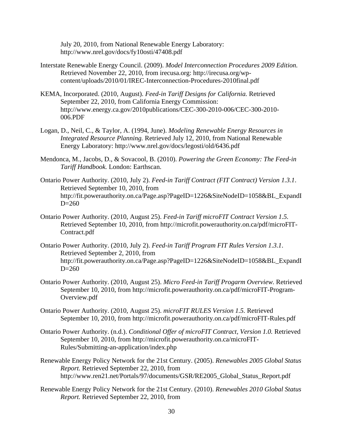July 20, 2010, from National Renewable Energy Laboratory: http://www.nrel.gov/docs/fy10osti/47408.pdf

- Interstate Renewable Energy Council. (2009). *Model Interconnection Procedures 2009 Edition.* Retrieved November 22, 2010, from irecusa.org: http://irecusa.org/wpcontent/uploads/2010/01/IREC-Interconnection-Procedures-2010final.pdf
- KEMA, Incorporated. (2010, August). *Feed-in Tariff Designs for California.* Retrieved September 22, 2010, from California Energy Commission: http://www.energy.ca.gov/2010publications/CEC-300-2010-006/CEC-300-2010- 006.PDF
- Logan, D., Neil, C., & Taylor, A. (1994, June). *Modeling Renewable Energy Resources in Integrated Resource Planning.* Retrieved July 12, 2010, from National Renewable Energy Laboratory: http://www.nrel.gov/docs/legosti/old/6436.pdf
- Mendonca, M., Jacobs, D., & Sovacool, B. (2010). *Powering the Green Economy: The Feed-in Tariff Handbook.* London: Earthscan.
- Ontario Power Authority. (2010, July 2). *Feed-in Tariff Contract (FIT Contract) Version 1.3.1*. Retrieved September 10, 2010, from http://fit.powerauthority.on.ca/Page.asp?PageID=1226&SiteNodeID=1058&BL\_ExpandI  $D=260$
- Ontario Power Authority. (2010, August 25). *Feed-in Tariff microFIT Contract Version 1.5.* Retrieved September 10, 2010, from http://microfit.powerauthority.on.ca/pdf/microFIT-Contract.pdf
- Ontario Power Authority. (2010, July 2). *Feed-in Tariff Program FIT Rules Version 1.3.1*. Retrieved September 2, 2010, from http://fit.powerauthority.on.ca/Page.asp?PageID=1226&SiteNodeID=1058&BL\_ExpandI  $D=260$
- Ontario Power Authority. (2010, August 25). *Micro Feed-in Tariff Progarm Overview.* Retrieved September 10, 2010, from http://microfit.powerauthority.on.ca/pdf/microFIT-Program-Overview.pdf
- Ontario Power Authority. (2010, August 25). *microFIT RULES Version 1.5.* Retrieved September 10, 2010, from http://microfit.powerauthority.on.ca/pdf/microFIT-Rules.pdf
- Ontario Power Authority. (n.d.). *Conditional Offer of microFIT Contract, Version 1.0.* Retrieved September 10, 2010, from http://microfit.powerauthority.on.ca/microFIT-Rules/Submitting-an-application/index.php
- Renewable Energy Policy Network for the 21st Century. (2005). *Renewables 2005 Global Status Report.* Retrieved September 22, 2010, from http://www.ren21.net/Portals/97/documents/GSR/RE2005\_Global\_Status\_Report.pdf
- Renewable Energy Policy Network for the 21st Century. (2010). *Renewables 2010 Global Status Report.* Retrieved September 22, 2010, from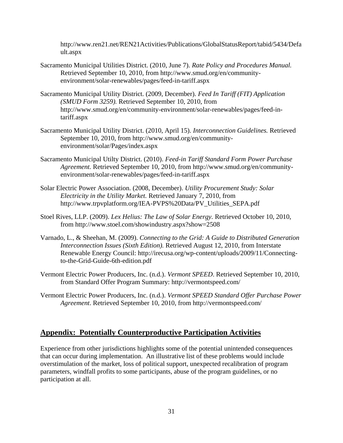http://www.ren21.net/REN21Activities/Publications/GlobalStatusReport/tabid/5434/Defa ult.aspx

- Sacramento Municipal Utilities District. (2010, June 7). *Rate Policy and Procedures Manual.* Retrieved September 10, 2010, from http://www.smud.org/en/communityenvironment/solar-renewables/pages/feed-in-tariff.aspx
- Sacramento Municipal Utility District. (2009, December). *Feed In Tariff (FIT) Application (SMUD Form 3259).* Retrieved September 10, 2010, from http://www.smud.org/en/community-environment/solar-renewables/pages/feed-intariff.aspx
- Sacramento Municipal Utility District. (2010, April 15). *Interconnection Guidelines.* Retrieved September 10, 2010, from http://www.smud.org/en/communityenvironment/solar/Pages/index.aspx
- Sacramento Municipal Utilty District. (2010). *Feed-in Tariff Standard Form Power Purchase Agreement.* Retrieved September 10, 2010, from http://www.smud.org/en/communityenvironment/solar-renewables/pages/feed-in-tariff.aspx
- Solar Electric Power Association. (2008, December). *Utility Procurement Study: Solar Electricity in the Utility Market.* Retrieved January 7, 2010, from http://www.trpvplatform.org/IEA-PVPS%20Data/PV\_Utilities\_SEPA.pdf
- Stoel Rives, LLP. (2009). *Lex Helius: The Law of Solar Energy.* Retrieved October 10, 2010, from http://www.stoel.com/showindustry.aspx?show=2508
- Varnado, L., & Sheehan, M. (2009). *Connecting to the Grid: A Guide to Distributed Generation Interconnection Issues (Sixth Edition).* Retrieved August 12, 2010, from Interstate Renewable Energy Council: http://irecusa.org/wp-content/uploads/2009/11/Connectingto-the-Grid-Guide-6th-edition.pdf
- Vermont Electric Power Producers, Inc. (n.d.). *Vermont SPEED*. Retrieved September 10, 2010, from Standard Offer Program Summary: http://vermontspeed.com/
- Vermont Electric Power Producers, Inc. (n.d.). *Vermont SPEED Standard Offer Purchase Power Agreement*. Retrieved September 10, 2010, from http://vermontspeed.com/

# **Appendix: Potentially Counterproductive Participation Activities**

Experience from other jurisdictions highlights some of the potential unintended consequences that can occur during implementation. An illustrative list of these problems would include overstimulation of the market, loss of political support, unexpected recalibration of program parameters, windfall profits to some participants, abuse of the program guidelines, or no participation at all.